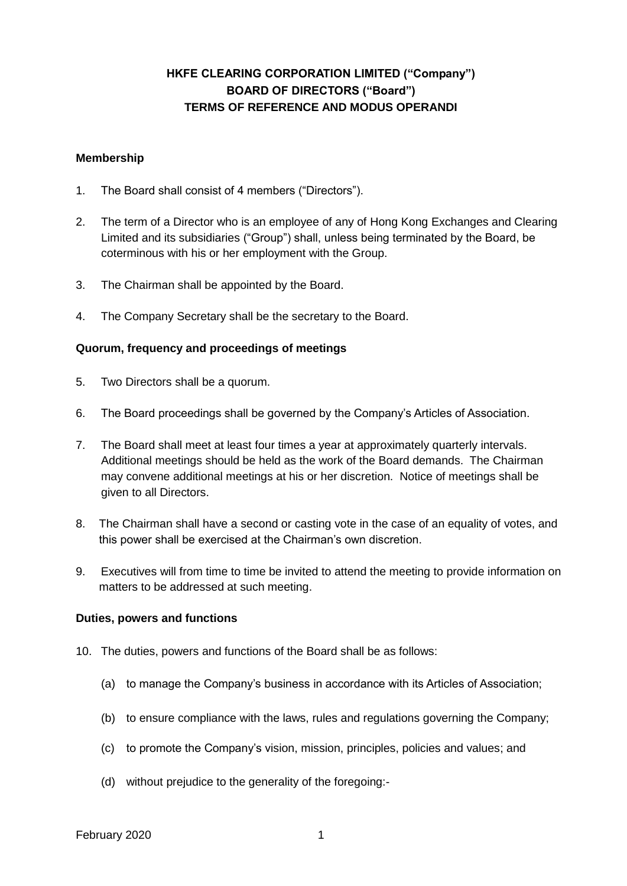# **HKFE CLEARING CORPORATION LIMITED ("Company") BOARD OF DIRECTORS ("Board") TERMS OF REFERENCE AND MODUS OPERANDI**

### **Membership**

- 1. The Board shall consist of 4 members ("Directors").
- 2. The term of a Director who is an employee of any of Hong Kong Exchanges and Clearing Limited and its subsidiaries ("Group") shall, unless being terminated by the Board, be coterminous with his or her employment with the Group.
- 3. The Chairman shall be appointed by the Board.
- 4. The Company Secretary shall be the secretary to the Board.

#### **Quorum, frequency and proceedings of meetings**

- 5. Two Directors shall be a quorum.
- 6. The Board proceedings shall be governed by the Company's Articles of Association.
- 7. The Board shall meet at least four times a year at approximately quarterly intervals. Additional meetings should be held as the work of the Board demands. The Chairman may convene additional meetings at his or her discretion. Notice of meetings shall be given to all Directors.
- 8. The Chairman shall have a second or casting vote in the case of an equality of votes, and this power shall be exercised at the Chairman's own discretion.
- 9. Executives will from time to time be invited to attend the meeting to provide information on matters to be addressed at such meeting.

#### **Duties, powers and functions**

- 10. The duties, powers and functions of the Board shall be as follows:
	- (a) to manage the Company's business in accordance with its Articles of Association;
	- (b) to ensure compliance with the laws, rules and regulations governing the Company;
	- (c) to promote the Company's vision, mission, principles, policies and values; and
	- (d) without prejudice to the generality of the foregoing:-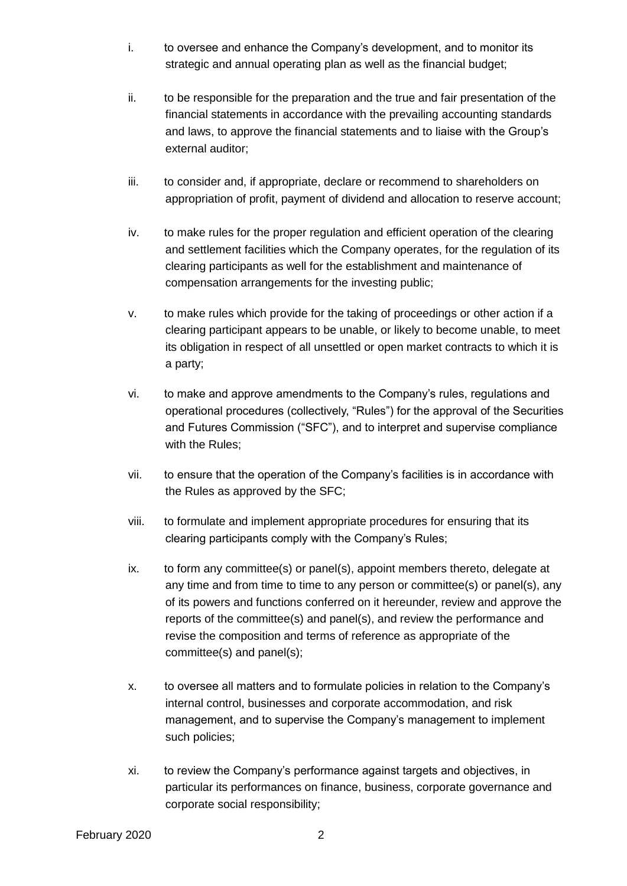- i. to oversee and enhance the Company's development, and to monitor its strategic and annual operating plan as well as the financial budget;
- ii. to be responsible for the preparation and the true and fair presentation of the financial statements in accordance with the prevailing accounting standards and laws, to approve the financial statements and to liaise with the Group's external auditor;
- iii. to consider and, if appropriate, declare or recommend to shareholders on appropriation of profit, payment of dividend and allocation to reserve account;
- iv. to make rules for the proper regulation and efficient operation of the clearing and settlement facilities which the Company operates, for the regulation of its clearing participants as well for the establishment and maintenance of compensation arrangements for the investing public;
- v. to make rules which provide for the taking of proceedings or other action if a clearing participant appears to be unable, or likely to become unable, to meet its obligation in respect of all unsettled or open market contracts to which it is a party;
- vi. to make and approve amendments to the Company's rules, regulations and operational procedures (collectively, "Rules") for the approval of the Securities and Futures Commission ("SFC"), and to interpret and supervise compliance with the Rules;
- vii. to ensure that the operation of the Company's facilities is in accordance with the Rules as approved by the SFC;
- viii. to formulate and implement appropriate procedures for ensuring that its clearing participants comply with the Company's Rules;
- ix. to form any committee(s) or panel(s), appoint members thereto, delegate at any time and from time to time to any person or committee(s) or panel(s), any of its powers and functions conferred on it hereunder, review and approve the reports of the committee(s) and panel(s), and review the performance and revise the composition and terms of reference as appropriate of the committee(s) and panel(s);
- x. to oversee all matters and to formulate policies in relation to the Company's internal control, businesses and corporate accommodation, and risk management, and to supervise the Company's management to implement such policies;
- xi. to review the Company's performance against targets and objectives, in particular its performances on finance, business, corporate governance and corporate social responsibility;